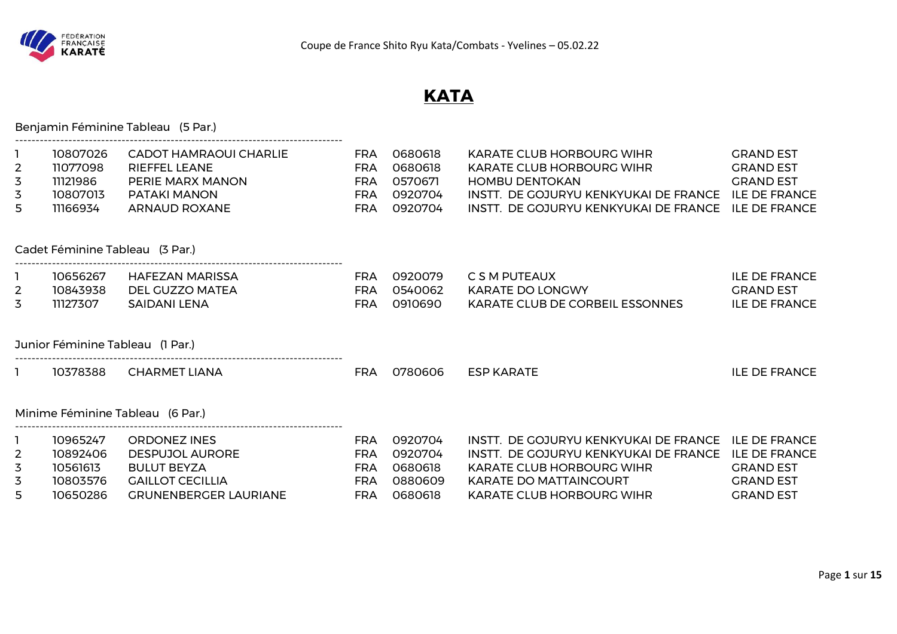

# **KATA**

| 10807026<br>11077098<br>11121986<br>10807013<br>11166934 | <b>CADOT HAMRAOUI CHARLIE</b><br><b>RIEFFEL LEANE</b><br>PERIE MARX MANON<br>PATAKI MANON<br><b>ARNAUD ROXANE</b> | <b>FRA</b><br><b>FRA</b><br><b>FRA</b><br><b>FRA</b><br><b>FRA</b>                                                                                                            | 0680618<br>0680618<br>0570671<br>0920704<br>0920704 | KARATE CLUB HORBOURG WIHR<br>KARATE CLUB HORBOURG WIHR<br><b>HOMBU DENTOKAN</b><br>INSTT. DE GOJURYU KENKYUKAI DE FRANCE ILE DE FRANCE<br>INSTT. DE GOJURYU KENKYUKAI DE FRANCE ILE DE FRANCE | <b>GRAND EST</b><br><b>GRAND EST</b><br><b>GRAND EST</b>         |
|----------------------------------------------------------|-------------------------------------------------------------------------------------------------------------------|-------------------------------------------------------------------------------------------------------------------------------------------------------------------------------|-----------------------------------------------------|-----------------------------------------------------------------------------------------------------------------------------------------------------------------------------------------------|------------------------------------------------------------------|
|                                                          |                                                                                                                   |                                                                                                                                                                               |                                                     |                                                                                                                                                                                               |                                                                  |
| 10656267<br>10843938<br>11127307                         | HAFEZAN MARISSA<br>DEL GUZZO MATEA<br><b>SAIDANI LENA</b>                                                         | <b>FRA</b><br><b>FRA</b><br><b>FRA</b>                                                                                                                                        | 0920079<br>0540062<br>0910690                       | C S M PUTEAUX<br>KARATE DO LONGWY<br>KARATE CLUB DE CORBEIL ESSONNES                                                                                                                          | <b>ILE DE FRANCE</b><br><b>GRAND EST</b><br><b>ILE DE FRANCE</b> |
|                                                          |                                                                                                                   |                                                                                                                                                                               |                                                     |                                                                                                                                                                                               |                                                                  |
| 10378388                                                 | <b>CHARMET LIANA</b>                                                                                              | <b>FRA</b>                                                                                                                                                                    | 0780606                                             | <b>ESP KARATE</b>                                                                                                                                                                             | <b>ILE DE FRANCE</b>                                             |
|                                                          |                                                                                                                   |                                                                                                                                                                               |                                                     |                                                                                                                                                                                               |                                                                  |
| 10965247<br>10892406<br>10561613<br>10803576             | <b>ORDONEZ INES</b><br><b>DESPUJOL AURORE</b><br><b>BULUT BEYZA</b><br><b>GAILLOT CECILLIA</b>                    | <b>FRA</b><br><b>FRA</b><br><b>FRA</b><br><b>FRA</b>                                                                                                                          | 0920704<br>0920704<br>0680618<br>0880609            | INSTT. DE GOJURYU KENKYUKAI DE FRANCE ILE DE FRANCE<br>INSTT. DE GOJURYU KENKYUKAI DE FRANCE ILE DE FRANCE<br><b>KARATE CLUB HORBOURG WIHR</b><br><b>KARATE DO MATTAINCOURT</b>               | <b>GRAND EST</b><br><b>GRAND EST</b><br><b>GRAND EST</b>         |
|                                                          | 10650286                                                                                                          | Benjamin Féminine Tableau (5 Par.)<br>Cadet Féminine Tableau (3 Par.)<br>Junior Féminine Tableau (1 Par.)<br>Minime Féminine Tableau (6 Par.)<br><b>GRUNENBERGER LAURIANE</b> | <b>FRA</b>                                          | 0680618                                                                                                                                                                                       | <b>KARATE CLUB HORBOURG WIHR</b>                                 |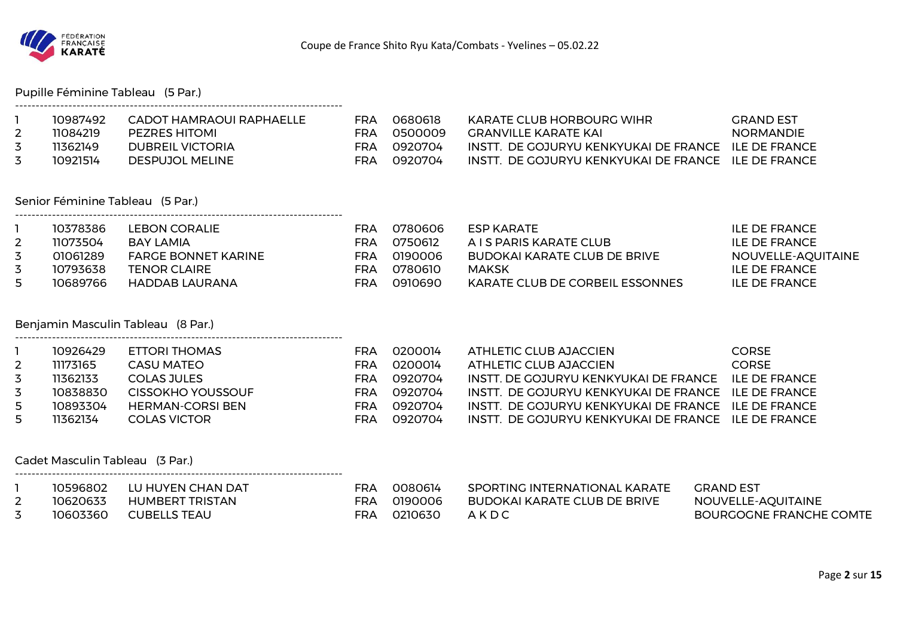

#### Pupille Féminine Tableau (5 Par.)

| 10987492 | CADOT HAMRAOUI RAPHAFILE | FRA | ೧೯৪೧೯18   | KARATE CLUB HORBOURG WIHR                           | GRAND FST        |
|----------|--------------------------|-----|-----------|-----------------------------------------------------|------------------|
| 11084219 | <b>PEZRES HITOMI</b>     | FRA | - 0500009 | GRANVILLE KARATE KAL                                | <b>NORMANDIE</b> |
| 11362149 | <b>DUBREIL VICTORIA</b>  | FRA | .0920704  | INSTT DE GOJURYU KENKYUKALDE FRANCE II E DE FRANCE  |                  |
| 10921514 | DESPUJOL MELINE          | FRA | .0920704  | INSTT. DE GOJURYU KENKYUKAI DE FRANCE ILE DE FRANCE |                  |

#### Senior Féminine Tableau (5 Par.)

--------------------------------------------------------------------------------

--------------------------------------------------------------------------------

--------------------------------------------------------------------------------

|   | 10378386 | <b>LEBON CORALIE</b>       | FRA | 0780606 | ESP KARATE                      | ILE DE FRANCE      |
|---|----------|----------------------------|-----|---------|---------------------------------|--------------------|
|   | 11073504 | BAY LAMIA                  | FRA | 0750612 | A I S PARIS KARATE CLUB         | ILE DE FRANCE      |
| 3 | 01061289 | <b>FARGE BONNET KARINE</b> | FRA | 0190006 | BUDOKAI KARATE CLUB DE BRIVE    | NOUVELLE-AQUITAINE |
| 3 | 10793638 | <b>TENOR CLAIRE</b>        | ⊏RA | 0780610 | MAKSK                           | ILE DE FRANCE      |
|   | 10689766 | HADDAB LAURANA             | FRA | 0910690 | KARATE CLUB DE CORBEIL ESSONNES | ILE DE FRANCE      |

#### Benjamin Masculin Tableau (8 Par.)

|    | 10926429 | ETTORI THOMAS     | FRA | _0200014 | ATHLETIC CLUB AJACCIEN                               | CORSE.        |
|----|----------|-------------------|-----|----------|------------------------------------------------------|---------------|
|    | 11173165 | CASU MATEO        | FRA | 0200014  | ATHLETIC CLUB AJACCIEN                               | <b>CORSE</b>  |
|    | 11362133 | COLAS JULES       | FRA | 0920704  | INSTT. DE GOJURYU KENKYUKAI DE FRANCE                | ILE DE FRANCE |
|    | 10838830 | CISSOKHO YOUSSOUF | FRA | 0920704  | INSTT. DE GOJURYU KENKYUKAI DE FRANCE ILE DE FRANCE  |               |
| 5  | 10893304 | HERMAN-CORSI BEN  | FRA | 0920704  | INSTT. DE GOJURYU KENKYUKAI DE FRANCE ILE DE FRANCE  |               |
| 5. | 11362134 | COLAS VICTOR      | FRA | 0920704  | INSTT. DE GOJURYU KENKYUKAI DE FRANCE. ILE DE FRANCE |               |

#### Cadet Masculin Tableau (3 Par.)

|          | 10596802 | LU HUYEN CHAN DAT | FRA  | 0080614 | SPORTING INTERNATIONAL KARATE       | GRAND EST               |
|----------|----------|-------------------|------|---------|-------------------------------------|-------------------------|
| <u>_</u> | 10620633 | HUMBERT TRISTAN   | FRA  | 0190006 | <b>BUDOKAI KARATE CLUB DE BRIVE</b> | NOUVELLE-AQUITAINE      |
|          | 10603360 | CUBELLS TEAU      | FRA. | 0210630 | AKDC                                | BOURGOGNE FRANCHE COMTE |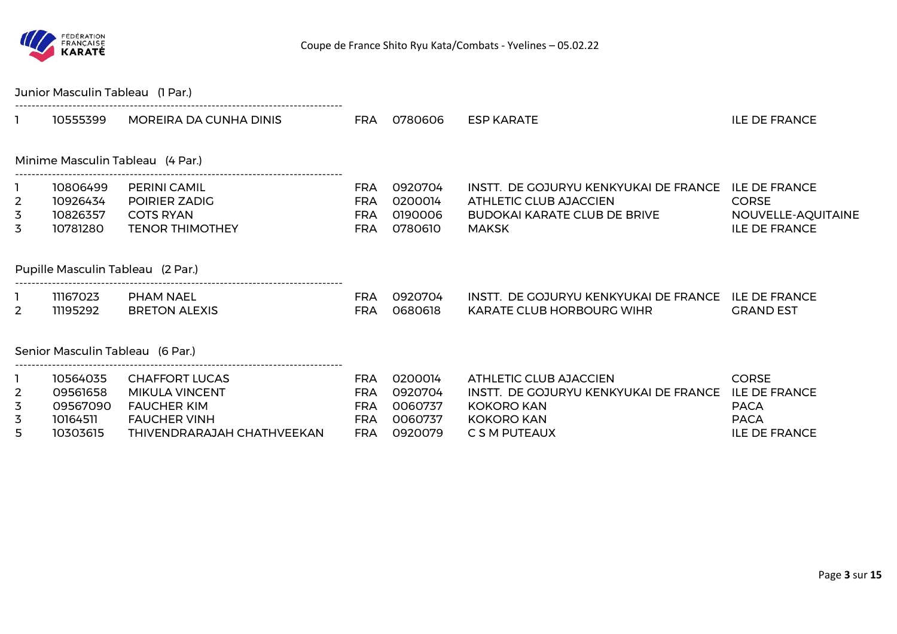

|                               | Junior Masculin Tableau (1 Par.)                         |                                                                                                                           |                                                                    |                                                     |                                                                                                                            |                                                                                            |
|-------------------------------|----------------------------------------------------------|---------------------------------------------------------------------------------------------------------------------------|--------------------------------------------------------------------|-----------------------------------------------------|----------------------------------------------------------------------------------------------------------------------------|--------------------------------------------------------------------------------------------|
|                               | 10555399                                                 | MOREIRA DA CUNHA DINIS                                                                                                    | <b>FRA</b>                                                         | 0780606                                             | ESP KARATE                                                                                                                 | <b>ILE DE FRANCE</b>                                                                       |
|                               |                                                          | Minime Masculin Tableau (4 Par.)                                                                                          |                                                                    |                                                     |                                                                                                                            |                                                                                            |
| $\overline{2}$<br>3<br>3      | 10806499<br>10926434<br>10826357<br>10781280             | <b>PERINI CAMIL</b><br>POIRIER ZADIG<br><b>COTS RYAN</b><br><b>TENOR THIMOTHEY</b>                                        | <b>FRA</b><br><b>FRA</b><br><b>FRA</b><br><b>FRA</b>               | 0920704<br>0200014<br>0190006<br>0780610            | INSTT. DE GOJURYU KENKYUKAI DE FRANCE<br>ATHLETIC CLUB AJACCIEN<br><b>BUDOKAI KARATE CLUB DE BRIVE</b><br><b>MAKSK</b>     | <b>ILE DE FRANCE</b><br><b>CORSE</b><br>NOUVELLE-AQUITAINE<br><b>ILE DE FRANCE</b>         |
|                               |                                                          | Pupille Masculin Tableau (2 Par.)                                                                                         |                                                                    |                                                     |                                                                                                                            |                                                                                            |
| $\overline{2}$                | 11167023<br>11195292                                     | PHAM NAEL<br><b>BRETON ALEXIS</b>                                                                                         | <b>FRA</b><br><b>FRA</b>                                           | 0920704<br>0680618                                  | INSTT. DE GOJURYU KENKYUKAI DE FRANCE ILE DE FRANCE<br><b>KARATE CLUB HORBOURG WIHR</b>                                    | <b>GRAND EST</b>                                                                           |
|                               |                                                          | Senior Masculin Tableau (6 Par.)                                                                                          |                                                                    |                                                     |                                                                                                                            |                                                                                            |
| $\overline{2}$<br>3<br>3<br>5 | 10564035<br>09561658<br>09567090<br>10164511<br>10303615 | <b>CHAFFORT LUCAS</b><br><b>MIKULA VINCENT</b><br><b>FAUCHER KIM</b><br><b>FAUCHER VINH</b><br>THIVENDRARAJAH CHATHVEEKAN | <b>FRA</b><br><b>FRA</b><br><b>FRA</b><br><b>FRA</b><br><b>FRA</b> | 0200014<br>0920704<br>0060737<br>0060737<br>0920079 | ATHLETIC CLUB AJACCIEN<br>INSTT. DE GOJURYU KENKYUKAI DE FRANCE<br><b>KOKORO KAN</b><br><b>KOKORO KAN</b><br>C S M PUTEAUX | <b>CORSE</b><br><b>ILE DE FRANCE</b><br><b>PACA</b><br><b>PACA</b><br><b>ILE DE FRANCE</b> |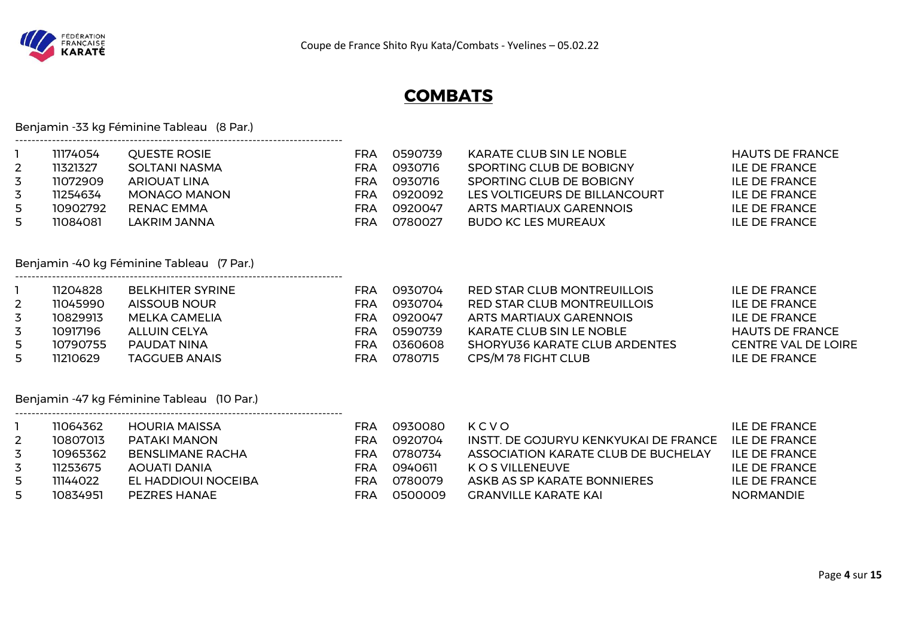

# **COMBATS**

Benjamin -33 kg Féminine Tableau (8 Par.)

--------------------------------------------------------------------------------

--------------------------------------------------------------------------------

--------------------------------------------------------------------------------

|   | 11174054 | <b>OUESTE ROSIE</b> | FRA | 0590739 | KARATE CLUB SIN LE NOBLE      | <b>HAUTS DE FRANCE</b> |
|---|----------|---------------------|-----|---------|-------------------------------|------------------------|
|   | 11321327 | SOLTANI NASMA       | FRA | 0930716 | SPORTING CLUB DE BOBIGNY      | ILE DE FRANCE          |
| 3 | 11072909 | ARIOUAT LINA        | FRA | 0930716 | SPORTING CLUB DE BOBIGNY      | ILE DE FRANCE          |
|   | 11254634 | MONAGO MANON        | FRA | 0920092 | LES VOLTIGEURS DE BILLANCOURT | ILE DE FRANCE          |
| 5 | 10902792 | RENAC EMMA          | FRA | 0920047 | ARTS MARTIAUX GARENNOIS       | ILE DE FRANCE          |
| 5 | 11084081 | LAKRIM JANNA        | FRA | 0780027 | BUDO KC LES MUREAUX           | ILE DE FRANCE          |

### Benjamin -40 kg Féminine Tableau (7 Par.)

|              | 11204828 | <b>BELKHITER SYRINE</b> | FRA        | 0930704 | RED STAR CLUB MONTREUILLOIS   | ILE DE FRANCE              |
|--------------|----------|-------------------------|------------|---------|-------------------------------|----------------------------|
| $\mathbf{2}$ | 11045990 | AISSOUB NOUR            | <b>FRA</b> | 0930704 | RED STAR CLUB MONTREUILLOIS   | ILE DE FRANCE              |
|              | 10829913 | MELKA CAMELIA           | FRA        | 0920047 | ARTS MARTIAUX GARENNOIS       | ILE DE FRANCE              |
|              | 10917196 | ALLUIN CELYA            | FRA        | 0590739 | KARATE CLUB SIN LE NOBLE      | <b>HAUTS DE FRANCE</b>     |
| 5.           | 10790755 | PAUDAT NINA             | FRA        | 0360608 | SHORYU36 KARATE CLUB ARDENTES | <b>CENTRE VAL DE LOIRE</b> |
| 5.           | 11210629 | TAGGUEB ANAIS           | FRA        | 0780715 | CPS/M 78 FIGHT CLUB           | ILE DE FRANCE              |

# Benjamin -47 kg Féminine Tableau (10 Par.)

|    | 11064362 | HOURIA MAISSA           | FRA | 0930080 | KCVO                                  | ILE DE FRANCE    |
|----|----------|-------------------------|-----|---------|---------------------------------------|------------------|
| 2  | 10807013 | PATAKI MANON            | FRA | 0920704 | INSTT. DE GOJURYU KENKYUKAI DE FRANCE | ILE DE FRANCE    |
| 3  | 10965362 | <b>BENSLIMANE RACHA</b> | FRA | 0780734 | ASSOCIATION KARATE CLUB DE BUCHELAY   | ILE DE FRANCE    |
| 3  | 11253675 | AOUATI DANIA            | FRA | 0940611 | K O S VILLENEUVE                      | ILE DE FRANCE    |
| 5. | 11144022 | EL HADDIOUI NOCEIBA     | FRA | 0780079 | ASKB AS SP KARATE BONNIERES           | ILE DE FRANCE    |
| 5. | 10834951 | PEZRES HANAE            | FRA | 0500009 | GRANVILLE KARATE KAL                  | <b>NORMANDIE</b> |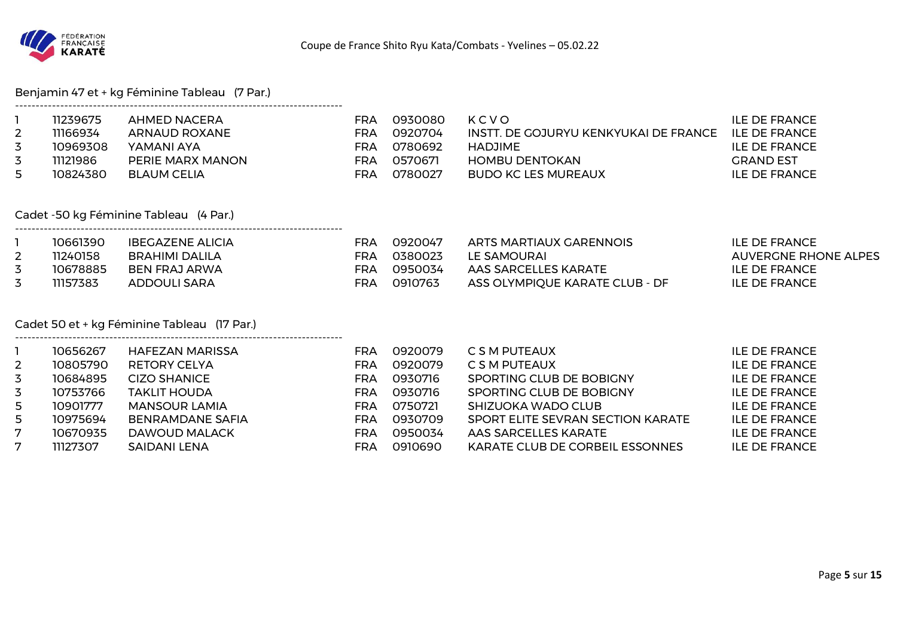

Benjamin 47 et + kg Féminine Tableau (7 Par.)

|    | 11239675 | AHMED NACERA     | FRA | 0930080 | KCVO                                  | ILE DE FRANCE |
|----|----------|------------------|-----|---------|---------------------------------------|---------------|
| 2  | 11166934 | ARNAUD ROXANE    | FRA | 0920704 | INSTT, DE GOJURYU KENKYUKAI DE FRANCE | ILE DE FRANCE |
| 3  | 10969308 | YAMANI AYA       | FRA | 0780692 | HADJIME                               | ILE DE FRANCE |
| 3  | 11121986 | PERIE MARX MANON | FRA | 0570671 | HOMBU DENTOKAN                        | GRAND EST     |
| 5. | 10824380 | BLAUM CELIA      | FRA | 0780027 | BUDO KC LES MUREAUX                   | ILE DE FRANCE |

Cadet -50 kg Féminine Tableau (4 Par.)

--------------------------------------------------------------------------------

--------------------------------------------------------------------------------

| 10661390 | <b>IBEGAZENE ALICIA</b> | FRA | 0920047 | ARTS MARTIAUX GARENNOIS        | ILE DE FRANCE        |
|----------|-------------------------|-----|---------|--------------------------------|----------------------|
| 11240158 | BRAHIMI DALILA          | FRA | 0380023 | LE SAMOURAI                    | AUVERGNE RHONE ALPES |
| 10678885 | BEN FRAJ ARWA           | FRA | 0950034 | AAS SARCELLES KARATE           | ILE DE FRANCE        |
| 11157383 | ADDOULI SARA            | FRA | 0910763 | ASS OLYMPIQUE KARATE CLUB - DF | ILE DE FRANCE        |

### Cadet 50 et + kg Féminine Tableau (17 Par.)

|              | 10656267 | HAFEZAN MARISSA         | FRA | 0920079 | C S M PUTEAUX                     | ILE DE FRANCE        |
|--------------|----------|-------------------------|-----|---------|-----------------------------------|----------------------|
| $\mathbf{2}$ | 10805790 | <b>RETORY CELYA</b>     | FRA | 0920079 | C S M PUTEAUX                     | <b>ILE DE FRANCE</b> |
| 3            | 10684895 | <b>CIZO SHANICE</b>     | FRA | 0930716 | SPORTING CLUB DE BOBIGNY          | <b>ILE DE FRANCE</b> |
| 3            | 10753766 | <b>TAKLIT HOUDA</b>     | FRA | 0930716 | SPORTING CLUB DE BOBIGNY          | <b>ILE DE FRANCE</b> |
| 5.           | 10901777 | <b>MANSOUR LAMIA</b>    | FRA | 0750721 | SHIZUOKA WADO CLUB                | <b>ILE DE FRANCE</b> |
| 5.           | 10975694 | <b>BENRAMDANE SAFIA</b> | FRA | 0930709 | SPORT ELITE SEVRAN SECTION KARATE | <b>ILE DE FRANCE</b> |
| 7            | 10670935 | DAWOUD MALACK           | FRA | 0950034 | AAS SARCELLES KARATE              | <b>ILE DE FRANCE</b> |
| 7            | 11127307 | SAIDANI LENA            | FRA | 0910690 | KARATE CLUB DE CORBEIL ESSONNES   | <b>ILE DE FRANCE</b> |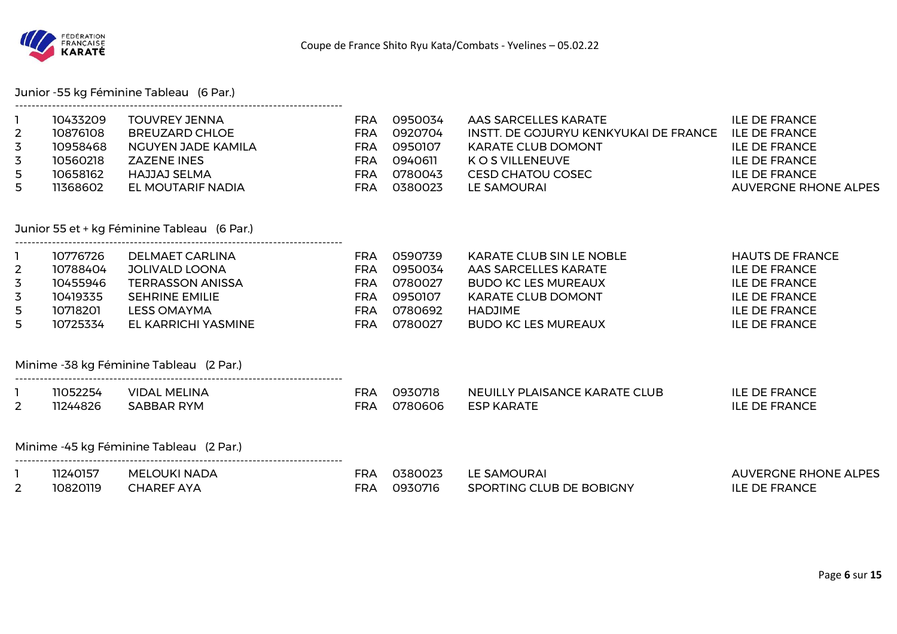

Junior -55 kg Féminine Tableau (6 Par.)

| $\overline{2}$<br>3<br>3<br>5<br>5                              | 10433209<br>10876108<br>10958468<br>10560218<br>10658162<br>11368602 | <b>TOUVREY JENNA</b><br><b>BREUZARD CHLOE</b><br><b>NGUYEN JADE KAMILA</b><br><b>ZAZENE INES</b><br>HAJJAJ SELMA<br>EL MOUTARIF NADIA            | <b>FRA</b><br><b>FRA</b><br><b>FRA</b><br><b>FRA</b><br><b>FRA</b><br><b>FRA</b> | 0950034<br>0920704<br>0950107<br>0940611<br>0780043<br>0380023 | AAS SARCELLES KARATE<br>INSTT. DE GOJURYU KENKYUKAI DE FRANCE<br><b>KARATE CLUB DOMONT</b><br><b>KOS VILLENEUVE</b><br><b>CESD CHATOU COSEC</b><br>LE SAMOURAI     | <b>ILE DE FRANCE</b><br><b>ILE DE FRANCE</b><br><b>ILE DE FRANCE</b><br><b>ILE DE FRANCE</b><br><b>ILE DE FRANCE</b><br><b>AUVERGNE RHONE ALPES</b> |
|-----------------------------------------------------------------|----------------------------------------------------------------------|--------------------------------------------------------------------------------------------------------------------------------------------------|----------------------------------------------------------------------------------|----------------------------------------------------------------|--------------------------------------------------------------------------------------------------------------------------------------------------------------------|-----------------------------------------------------------------------------------------------------------------------------------------------------|
|                                                                 |                                                                      | Junior 55 et + kg Féminine Tableau (6 Par.)                                                                                                      |                                                                                  |                                                                |                                                                                                                                                                    |                                                                                                                                                     |
| $\mathbf{1}$<br>$\overline{2}$<br>3<br>$\overline{3}$<br>5<br>5 | 10776726<br>10788404<br>10455946<br>10419335<br>10718201<br>10725334 | <b>DELMAET CARLINA</b><br><b>JOLIVALD LOONA</b><br><b>TERRASSON ANISSA</b><br><b>SEHRINE EMILIE</b><br><b>LESS OMAYMA</b><br>EL KARRICHI YASMINE | <b>FRA</b><br><b>FRA</b><br><b>FRA</b><br><b>FRA</b><br><b>FRA</b><br><b>FRA</b> | 0590739<br>0950034<br>0780027<br>0950107<br>0780692<br>0780027 | <b>KARATE CLUB SIN LE NOBLE</b><br>AAS SARCELLES KARATE<br><b>BUDO KC LES MUREAUX</b><br><b>KARATE CLUB DOMONT</b><br><b>HADJIME</b><br><b>BUDO KC LES MUREAUX</b> | <b>HAUTS DE FRANCE</b><br><b>ILE DE FRANCE</b><br><b>ILE DE FRANCE</b><br><b>ILE DE FRANCE</b><br><b>ILE DE FRANCE</b><br><b>ILE DE FRANCE</b>      |
|                                                                 |                                                                      | Minime -38 kg Féminine Tableau (2 Par.)                                                                                                          |                                                                                  |                                                                |                                                                                                                                                                    |                                                                                                                                                     |
| $\mathbf{1}$<br>2                                               | 11052254<br>11244826                                                 | <b>VIDAL MELINA</b><br><b>SABBAR RYM</b>                                                                                                         | <b>FRA</b><br><b>FRA</b>                                                         | 0930718<br>0780606                                             | NEUILLY PLAISANCE KARATE CLUB<br><b>ESP KARATE</b>                                                                                                                 | <b>ILE DE FRANCE</b><br><b>ILE DE FRANCE</b>                                                                                                        |
|                                                                 |                                                                      | Minime -45 kg Féminine Tableau (2 Par.)                                                                                                          |                                                                                  |                                                                |                                                                                                                                                                    |                                                                                                                                                     |
| $\mathbf{1}$<br>2                                               | 11240157<br>10820119                                                 | <b>MELOUKI NADA</b><br><b>CHAREF AYA</b>                                                                                                         | <b>FRA</b><br><b>FRA</b>                                                         | 0380023<br>0930716                                             | LE SAMOURAI<br>SPORTING CLUB DE BOBIGNY                                                                                                                            | <b>AUVERGNE RHONE ALPES</b><br><b>ILE DE FRANCE</b>                                                                                                 |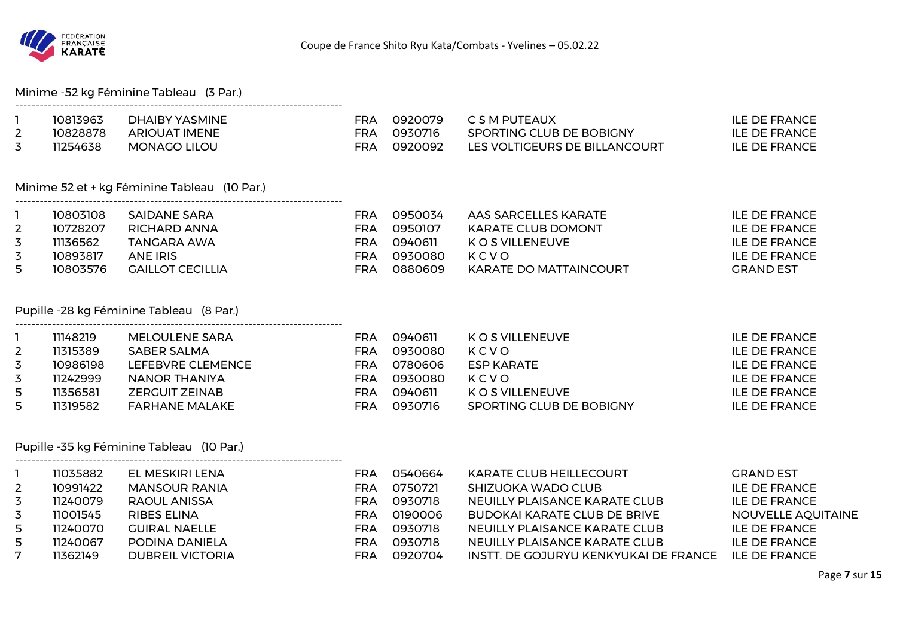

#### Minime -52 kg Féminine Tableau (3 Par.)

|   | 10813963 | DHAIBY YASMINE       | FRA | 0920079 | C S M PUTEAUX                 | ILE DE FRANCE |
|---|----------|----------------------|-----|---------|-------------------------------|---------------|
| ∸ | 10828878 | <b>ARIOUAT IMENE</b> | FRA | 0930716 | SPORTING CLUB DE BOBIGNY      | ILE DE FRANCE |
| ັ | 11254638 | <b>MONAGO LILOU</b>  | FRA | 0920092 | LES VOLTIGEURS DE BILLANCOURT | ILE DE FRANCE |

### Minime 52 et + kg Féminine Tableau (10 Par.)

|                | 10803108 | SAIDANE SARA     | FRA | 0950034 | AAS SARCELLES KARATE   | ILE DE FRANCE    |
|----------------|----------|------------------|-----|---------|------------------------|------------------|
| $\overline{2}$ | 10728207 | RICHARD ANNA     | FRA | 0950107 | KARATE CLUB DOMONT     | ILE DE FRANCE    |
|                | 11136562 | TANGARA AWA      | FRA | 0940611 | K O S VILLENEUVE       | ILE DE FRANCE    |
|                | 10893817 | ANE IRIS         | FRA | 0930080 | KCVO                   | ILE DE FRANCE    |
| 5.             | 10803576 | GAILLOT CECILLIA | FRA | 0880609 | KARATE DO MATTAINCOURT | <b>GRAND EST</b> |

#### Pupille -28 kg Féminine Tableau (8 Par.)

--------------------------------------------------------------------------------

--------------------------------------------------------------------------------

|   | 11148219 | MELOULENE SARA    | FRA | 0940611 | K O S VILLENEUVE         | ILE DE FRANCE |
|---|----------|-------------------|-----|---------|--------------------------|---------------|
|   | 11315389 | SABER SALMA       | FRA | 0930080 | KCVO                     | ILE DE FRANCE |
| 3 | 10986198 | LEFEBVRE CLEMENCE | FRA | 0780606 | ESP KARATE               | ILE DE FRANCE |
| 3 | 11242999 | NANOR THANIYA     | FRA | 0930080 | KCVO                     | ILE DE FRANCE |
| 5 | 11356581 | ZERGUIT ZEINAB    | FRA | 0940611 | K O S VILLENEUVE         | ILE DE FRANCE |
| 5 | 11319582 | FARHANE MALAKE    | FRA | 0930716 | SPORTING CLUB DE BOBIGNY | ILE DE FRANCE |

## Pupille -35 kg Féminine Tableau (10 Par.)

|             | 11035882 | EL MESKIRI LENA         | FRA        | 0540664 | <b>KARATE CLUB HEILLECOURT</b>        | <b>GRAND EST</b>     |
|-------------|----------|-------------------------|------------|---------|---------------------------------------|----------------------|
| $2^{\circ}$ | 10991422 | <b>MANSOUR RANIA</b>    | FRA        | 0750721 | SHIZUOKA WADO CLUB                    | <b>ILE DE FRANCE</b> |
|             | 11240079 | RAOUL ANISSA            | <b>FRA</b> | 0930718 | NEUILLY PLAISANCE KARATE CLUB         | <b>ILE DE FRANCE</b> |
|             | 11001545 | RIBES ELINA             | FRA        | 0190006 | BUDOKAI KARATE CLUB DE BRIVE          | NOUVELLE AQUITAINE   |
| 5.          | 11240070 | <b>GUIRAL NAELLE</b>    | FRA        | 0930718 | NEUILLY PLAISANCE KARATE CLUB         | ILE DE FRANCE        |
| 5           | 11240067 | PODINA DANIELA          | FRA        | 0930718 | NEUILLY PLAISANCE KARATE CLUB         | ILE DE FRANCE        |
| 7           | 11362149 | <b>DUBREIL VICTORIA</b> | FRA        | 0920704 | INSTT. DE GOJURYU KENKYUKAI DE FRANCE | ILE DE FRANCE        |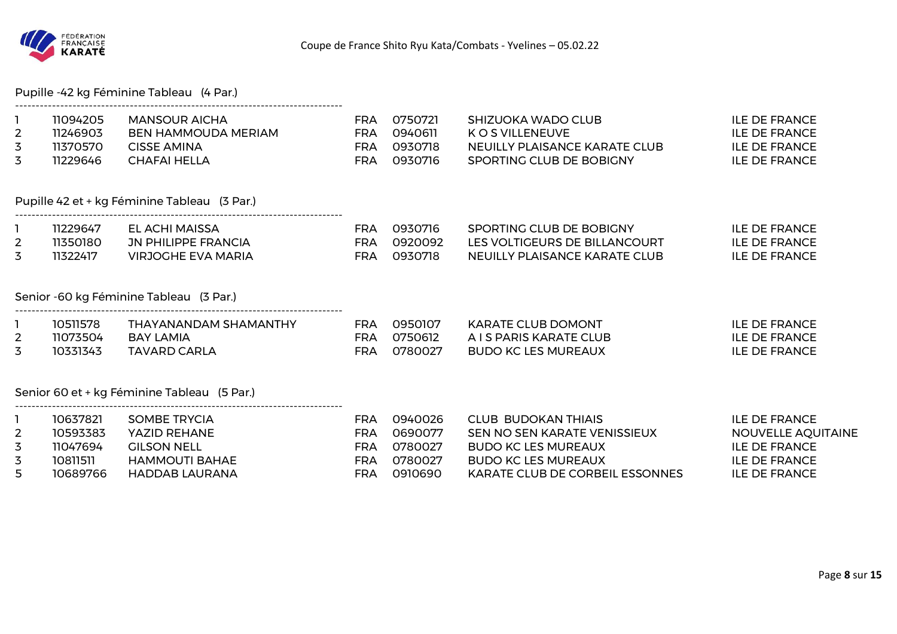

Pupille -42 kg Féminine Tableau (4 Par.)

--------------------------------------------------------------------------------

--------------------------------------------------------------------------------

--------------------------------------------------------------------------------

--------------------------------------------------------------------------------

| 11094205 | MANSOUR AICHA       | FRA | 0750721  | SHIZUOKA WADO CLUB            | ILE DE FRANCE |
|----------|---------------------|-----|----------|-------------------------------|---------------|
| 11246903 | BEN HAMMOUDA MERIAM | FRA | ้ ด94ดคา | K O S VII I FNFUVE            | ILE DE FRANCE |
| 11370570 | CISSE AMINA         | FRA | 0930718  | NEUILLY PLAISANCE KARATE CLUB | ILE DE FRANCE |
| 11229646 | CHAFAI HELLA        | FRA | 0930716  | SPORTING CLUB DE BOBIGNY      | ILE DE FRANCE |

Pupille 42 et + kg Féminine Tableau (3 Par.)

| 11229647 | EL ACHI MAISSA             | FRA | 0930716  | SPORTING CLUB DE BOBIGNY      | ILE DE FRANCE |
|----------|----------------------------|-----|----------|-------------------------------|---------------|
| 11350180 | <b>JN PHILIPPE FRANCIA</b> | FRA | .0920092 | LES VOLTIGEURS DE BILLANCOURT | ILE DE FRANCE |
| 11322417 | VIRJOGHE EVA MARIA         | ⊑RΑ | 0930718  | NEUILLY PLAISANCE KARATE CLUB | ILE DE FRANCE |

#### Senior -60 kg Féminine Tableau (3 Par.)

| 10511578 | THAYANANDAM SHAMANTHY | FRA | 0950107 | KARATE CLUB DOMONT      | ILE DE FRANCE        |
|----------|-----------------------|-----|---------|-------------------------|----------------------|
| 11073504 | <b>BAY LAMIA</b>      | FRA | 0750612 | A I S PARIS KARATE CLUB | <b>ILE DE FRANCE</b> |
| 10331343 | TAVARD CARLA          | FRA | 0780027 | BUDO KC LES MUREAUX     | ILE DE FRANCE        |

Senior 60 et + kg Féminine Tableau (5 Par.)

|   | 10637821 | SOMBE TRYCIA       | -RA | 0940026 | CLUB BUDOKAN THIAIS             | ILE DE FRANCE      |
|---|----------|--------------------|-----|---------|---------------------------------|--------------------|
| 2 | 10593383 | YAZID REHANE       | FRA | 0690077 | SEN NO SEN KARATE VENISSIEUX    | NOUVELLE AQUITAINE |
|   | 11047694 | <b>GILSON NELL</b> | =RA | 0780027 | BUDO KC LES MUREAUX             | ILE DE FRANCE      |
|   | 10811511 | HAMMOUTI BAHAE     | FRA | 0780027 | BUDO KC LES MUREAUX             | ILE DE FRANCE      |
|   | 10689766 | HADDAB LAURANA     | FRA | 0910690 | KARATE CLUB DE CORBEIL ESSONNES | ILE DE FRANCE      |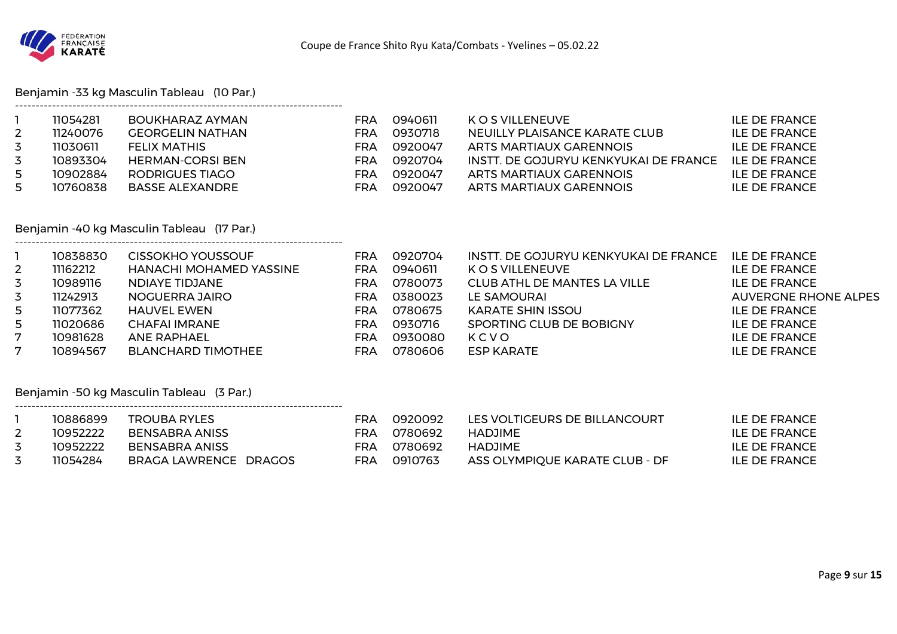

Benjamin -33 kg Masculin Tableau (10 Par.)

--------------------------------------------------------------------------------

--------------------------------------------------------------------------------

--------------------------------------------------------------------------------

|   | 11054281 | BOUKHARAZ AYMAN  | FRA | 0940611 | K O S VILLENEUVE                      | ILE DE FRANCE        |
|---|----------|------------------|-----|---------|---------------------------------------|----------------------|
|   | 11240076 | GEORGELIN NATHAN | FRA | 0930718 | NEUILLY PLAISANCE KARATE CLUB         | <b>ILE DE FRANCE</b> |
|   | 11030611 | FELIX MATHIS     | FRA | 0920047 | ARTS MARTIAUX GARENNOIS               | ILE DE FRANCE        |
| 3 | 10893304 | HERMAN-CORSI BEN | FRA | 0920704 | INSTT. DE GOJURYU KENKYUKAI DE FRANCE | II E DE FRANCE       |
| 5 | 10902884 | RODRIGUES TIAGO  | FRA | 0920047 | ARTS MARTIAUX GARENNOIS               | ILE DE FRANCE        |
| 5 | 10760838 | BASSE ALEXANDRE  | FRA | 0920047 | ARTS MARTIAUX GARENNOIS               | ILE DE FRANCE        |

### Benjamin -40 kg Masculin Tableau (17 Par.)

|              | 10838830 | <b>CISSOKHO YOUSSOUF</b>       | FRA        | 0920704 | INSTT. DE GOJURYU KENKYUKAI DE FRANCE | <b>ILE DE FRANCE</b>        |
|--------------|----------|--------------------------------|------------|---------|---------------------------------------|-----------------------------|
| $\mathbf{2}$ | 11162212 | <b>HANACHI MOHAMED YASSINE</b> | <b>FRA</b> | 0940611 | K O S VILLENEUVE                      | <b>ILE DE FRANCE</b>        |
| 3            | 10989116 | NDIAYE TIDJANE                 | <b>FRA</b> | 0780073 | CLUB ATHL DE MANTES LA VILLE          | <b>ILE DE FRANCE</b>        |
| 3            | 11242913 | NOGUERRA JAIRO                 | <b>FRA</b> | 0380023 | LE SAMOURAI                           | <b>AUVERGNE RHONE ALPES</b> |
| 5            | 11077362 | HAUVEL EWEN                    | FRA        | 0780675 | KARATE SHIN ISSOU                     | ILE DE FRANCE               |
| 5            | 11020686 | <b>CHAFAI IMRANE</b>           | FRA        | 0930716 | SPORTING CLUB DE BOBIGNY              | <b>ILE DE FRANCE</b>        |
| 7            | 10981628 | <b>ANE RAPHAEL</b>             | <b>FRA</b> | 0930080 | KCVO                                  | <b>ILE DE FRANCE</b>        |
| 7            | 10894567 | <b>BLANCHARD TIMOTHEE</b>      | FRA        | 0780606 | <b>ESP KARATE</b>                     | ILE DE FRANCE               |

### Benjamin -50 kg Masculin Tableau (3 Par.)

| 10886899 | <b>TROUBA RYLES</b>   | FRA | .0920092 | LES VOLTIGEURS DE BILLANCOURT  | ILE DE FRANCE |
|----------|-----------------------|-----|----------|--------------------------------|---------------|
| 10952222 | BENSABRA ANISS        | FRA | 0780692  | HADJIME                        | ILE DE FRANCE |
| 10952222 | BENSABRA ANISS        | FRA | 0780692  | HADJIME                        | ILE DE FRANCE |
| 11054284 | BRAGA LAWRENCE DRAGOS | FRA | 0910763  | ASS OLYMPIQUE KARATE CLUB - DF | ILE DE FRANCE |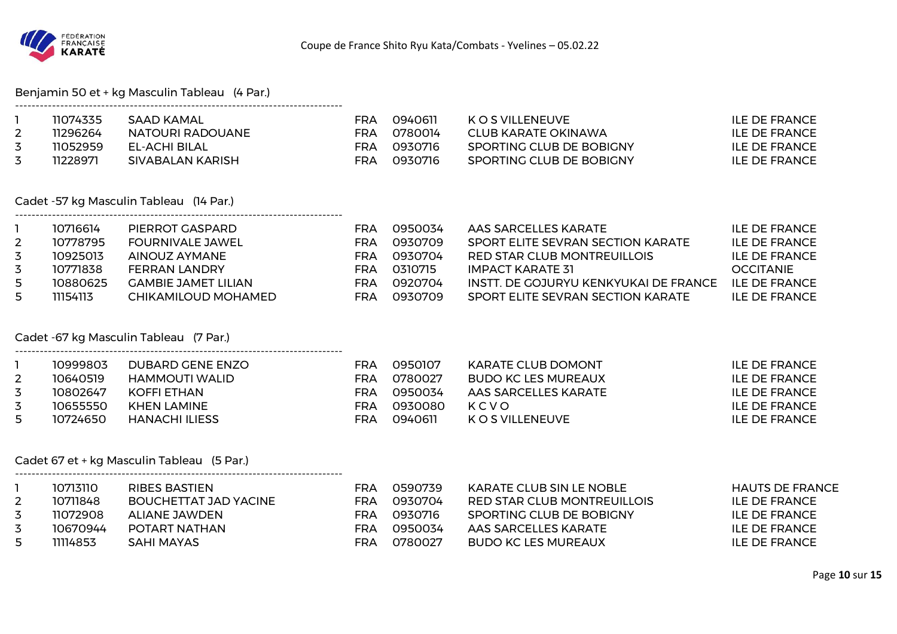

#### Benjamin 50 et + kg Masculin Tableau (4 Par.)

| 11074335 | SAAD KAMAL       | FRA | 0940611 | K O S VII I FNFUVE       | ILE DE FRANCE |
|----------|------------------|-----|---------|--------------------------|---------------|
| 11296264 | NATOURI RADOUANE | FRA | 0780014 | CLUB KARATE OKINAWA      | ILE DE FRANCE |
| 11052959 | EL-ACHI BILAL    | FRA | 0930716 | SPORTING CLUB DE BOBIGNY | ILE DE FRANCE |
| 11228971 | SIVABALAN KARISH | FRA | 0930716 | SPORTING CLUB DE BOBIGNY | ILE DE FRANCE |

#### Cadet -57 kg Masculin Tableau (14 Par.) --------------------------------------------------------------------------------

|   | 10716614 | PIERROT GASPARD     | FRA | 0950034 | AAS SARCELLES KARATE                   | ILE DE FRANCE        |
|---|----------|---------------------|-----|---------|----------------------------------------|----------------------|
|   | 10778795 | FOURNIVALE JAWEL    | FRA | 0930709 | SPORT ELITE SEVRAN SECTION KARATE      | ILE DE FRANCE        |
|   | 10925013 | AINOUZ AYMANE       | FRA | 0930704 | RED STAR CLUB MONTREUILLOIS            | <b>ILE DE FRANCE</b> |
|   | 10771838 | FERRAN LANDRY       | FRA | 0310715 | IMPACT KARATE 31                       | <b>OCCITANIE</b>     |
| 5 | 10880625 | GAMBIE JAMET LILIAN | FRA | 0920704 | INSTT. DE GOJURYU KENKYUKAI DE FRANCE. | ILE DE FRANCE        |
|   | 11154113 | CHIKAMILOUD MOHAMED | FRA | 0930709 | SPORT ELITE SEVRAN SECTION KARATE      | ILE DE FRANCE        |

#### Cadet -67 kg Masculin Tableau (7 Par.)

--------------------------------------------------------------------------------

--------------------------------------------------------------------------------

|   | 10999803 | DUBARD GENE ENZO | FRA | 0950107 | <b>KARATE CLUB DOMONT</b>  | ILE DE FRANCE        |
|---|----------|------------------|-----|---------|----------------------------|----------------------|
| 2 | 10640519 | HAMMOUTI WALID   | FRA | 0780027 | <b>BUDO KC LES MUREAUX</b> | ILE DE FRANCE        |
|   | 10802647 | KOFFI ETHAN      | FRA | 0950034 | AAS SARCELLES KARATE       | ILE DE FRANCE        |
| 3 | 10655550 | KHEN LAMINE      | FRA | 0930080 | KCVO                       | ILE DE FRANCE        |
|   | 10724650 | HANACHI ILIESS   | FRA | 0940611 | K O S VILLENEUVE           | <b>ILE DE FRANCE</b> |

#### Cadet 67 et + kg Masculin Tableau (5 Par.)

| 10713110 | RIBES BASTIEN         | FRA | 0590739 | KARATE CLUB SIN LE NOBLE    | <b>HAUTS DE FRANCE</b> |
|----------|-----------------------|-----|---------|-----------------------------|------------------------|
| 10711848 | BOUCHETTAT JAD YACINE | FRA | 0930704 | RED STAR CLUB MONTREUILLOIS | ILE DE FRANCE          |
| 11072908 | ALIANE JAWDEN         | FRA | 0930716 | SPORTING CLUB DE BOBIGNY    | <b>ILE DE FRANCE</b>   |
| 10670944 | POTART NATHAN         | FRA | 0950034 | AAS SARCELLES KARATE        | <b>ILE DE FRANCE</b>   |
| 11114853 | SAHI MAYAS            | FRA | 0780027 | BUDO KC LES MUREAUX         | ILE DE FRANCE          |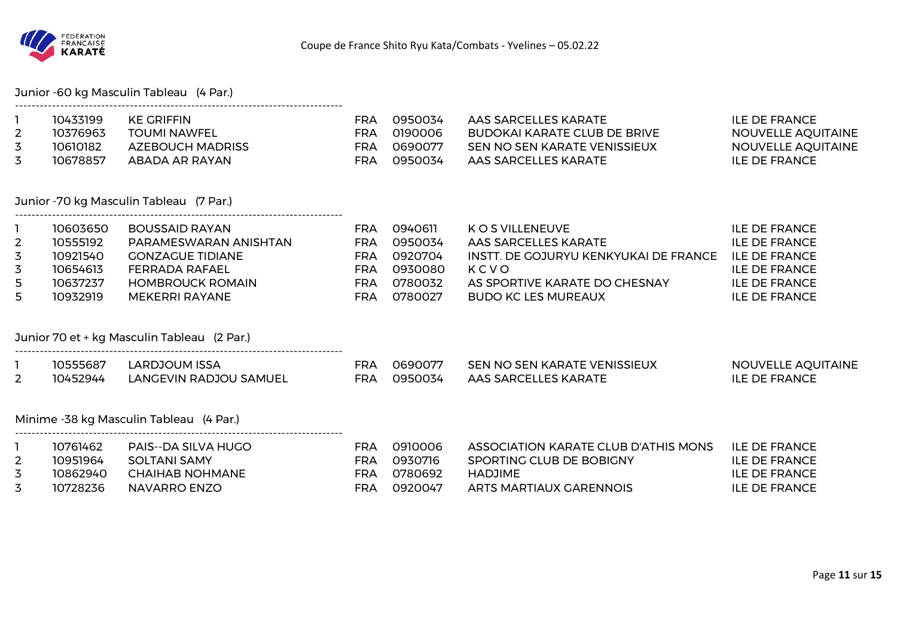

|  | Junior -60 kg Masculin Tableau (4 Par.) |  |
|--|-----------------------------------------|--|
|--|-----------------------------------------|--|

--------------------------------------------------------------------------------

|          | 10433199 | KE GRIFFIN          | FRA | 0950034 | AAS SARCELLES KARATE         | ILE DE FRANCE             |
|----------|----------|---------------------|-----|---------|------------------------------|---------------------------|
| <u>_</u> | 10376963 | <b>TOUMI NAWFEL</b> | FRA | 0190006 | BUDOKAI KARATE CLUB DE BRIVE | NOUVELLE AQUITAINE        |
|          | 10610182 | AZEBOUCH MADRISS    | FRA | 0690077 | SEN NO SEN KARATE VENISSIEUX | <b>NOUVELLE AQUITAINE</b> |
|          | 10678857 | ABADA AR RAYAN      | FRA | 0950034 | AAS SARCELLES KARATE         | ILE DE FRANCE             |

### Junior -70 kg Masculin Tableau (7 Par.)

|              | 10603650 | <b>BOUSSAID RAYAN</b>   | FRA | 0940611 | K O S VILLENEUVE                      | ILE DE FRANCE        |
|--------------|----------|-------------------------|-----|---------|---------------------------------------|----------------------|
| $\mathbf{2}$ | 10555192 | PARAMESWARAN ANISHTAN   | FRA | 0950034 | AAS SARCELLES KARATE                  | ILE DE FRANCE        |
| 3            | 10921540 | <b>GONZAGUE TIDIANE</b> | FRA | 0920704 | INSTT. DE GOJURYU KENKYUKAI DE FRANCE | <b>ILE DE FRANCE</b> |
| 3            | 10654613 | <b>FERRADA RAFAEL</b>   | FRA | 0930080 | KCVO                                  | ILE DE FRANCE        |
| 5            | 10637237 | <b>HOMBROUCK ROMAIN</b> | FRA | 0780032 | AS SPORTIVE KARATE DO CHESNAY         | ILE DE FRANCE        |
| 5            | 10932919 | MEKERRI RAYANE          | FRA | 0780027 | BUDO KC LES MUREAUX                   | <b>ILE DE FRANCE</b> |

#### Junior 70 et + kg Masculin Tableau (2 Par.)

--------------------------------------------------------------------------------

--------------------------------------------------------------------------------

|   | לאקכל.   | ARDJOUM ISSA            |     | กล90077        | SEN NO SEN KARATE VENISSIEUX | NOUVELLE AQUITAINE |
|---|----------|-------------------------|-----|----------------|------------------------------|--------------------|
| _ | 10452944 | I ANGEVIN RADJOU SAMUEI | FRA | <b>0950034</b> | AAS SARCFI I FS KARATF       | <b>FRANCE</b>      |

#### Minime -38 kg Masculin Tableau (4 Par.)

| 10761462  | PAIS--DA SILVA HUGO | FRA | ೧910006  | ASSOCIATION KARATE CLUB D'ATHIS MONS | <b>ILE DE FRANCE</b> |
|-----------|---------------------|-----|----------|--------------------------------------|----------------------|
| 10951964  | SOLTANI SAMY        | FRA | 0930716  | SPORTING CLUB DE BOBIGNY             | ILE DE FRANCE        |
| 10862940. | CHAIHAB NOHMANE     | FRA | 0780692  | HADJIME                              | ILE DE FRANCE        |
| 10728236  | NAVARRO ENZO        | FRA | _0920047 | ARTS MARTIAUX GARENNOIS              | <b>ILE DE FRANCE</b> |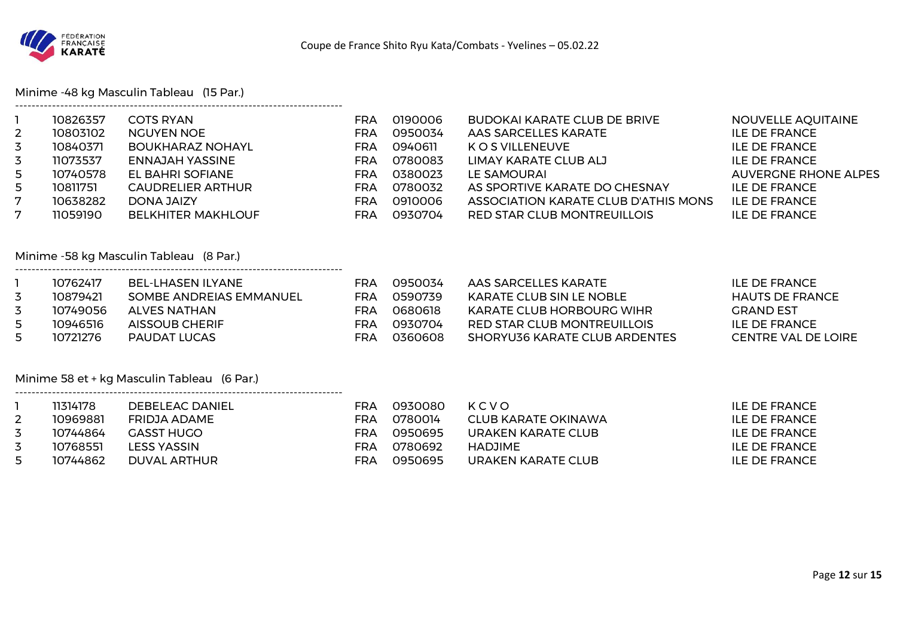

Minime -48 kg Masculin Tableau (15 Par.)

--------------------------------------------------------------------------------

| $2^{\circ}$<br>3<br>$\overline{3}$<br>5<br>5.<br>7<br>$7^{\circ}$ | 10826357<br>10803102<br>10840371<br>11073537<br>10740578<br>10811751<br>10638282<br>11059190 | <b>COTS RYAN</b><br><b>NGUYEN NOE</b><br><b>BOUKHARAZ NOHAYL</b><br><b>ENNAJAH YASSINE</b><br>EL BAHRI SOFIANE<br>CAUDRELIER ARTHUR<br><b>DONA JAIZY</b><br><b>BELKHITER MAKHLOUF</b> | FRA<br><b>FRA</b><br><b>FRA</b><br><b>FRA</b><br><b>FRA</b><br><b>FRA</b><br><b>FRA</b><br><b>FRA</b> | 0190006<br>0950034<br>0940611<br>0780083<br>0380023<br>0780032<br>0910006<br>0930704 | <b>BUDOKAI KARATE CLUB DE BRIVE</b><br>AAS SARCELLES KARATE<br>K O S VILLENEUVE<br>LIMAY KARATE CLUB ALJ<br>LE SAMOURAI<br>AS SPORTIVE KARATE DO CHESNAY<br>ASSOCIATION KARATE CLUB D'ATHIS MONS<br>RED STAR CLUB MONTREUILLOIS | NOUVELLE AQUITAINE<br><b>ILE DE FRANCE</b><br>ILE DE FRANCE<br><b>ILE DE FRANCE</b><br><b>AUVERGNE RHONE ALPES</b><br>ILE DE FRANCE<br><b>ILE DE FRANCE</b><br><b>ILE DE FRANCE</b> |
|-------------------------------------------------------------------|----------------------------------------------------------------------------------------------|---------------------------------------------------------------------------------------------------------------------------------------------------------------------------------------|-------------------------------------------------------------------------------------------------------|--------------------------------------------------------------------------------------|---------------------------------------------------------------------------------------------------------------------------------------------------------------------------------------------------------------------------------|-------------------------------------------------------------------------------------------------------------------------------------------------------------------------------------|
|-------------------------------------------------------------------|----------------------------------------------------------------------------------------------|---------------------------------------------------------------------------------------------------------------------------------------------------------------------------------------|-------------------------------------------------------------------------------------------------------|--------------------------------------------------------------------------------------|---------------------------------------------------------------------------------------------------------------------------------------------------------------------------------------------------------------------------------|-------------------------------------------------------------------------------------------------------------------------------------------------------------------------------------|

Minime -58 kg Masculin Tableau (8 Par.)

|    | 10762417 | <b>BEL-LHASEN ILYANE</b> | FRA | 0950034 | AAS SARCELLES KARATE          | ILE DE FRANCE          |
|----|----------|--------------------------|-----|---------|-------------------------------|------------------------|
| 3  | 10879421 | SOMBE ANDREIAS EMMANUEL  | FRA | 0590739 | KARATE CLUB SIN LE NOBLE      | <b>HAUTS DE FRANCE</b> |
| 3  | 10749056 | ALVES NATHAN             | FRA | 0680618 | KARATE CLUB HORBOURG WIHR     | GRAND EST              |
| 5. | 10946516 | AISSOUB CHERIF           | FRA | 0930704 | RED STAR CLUB MONTREUILLOIS   | ILE DE FRANCE          |
| 5. | 10721276 | PAUDAT LUCAS             | FRA | 0360608 | SHORYU36 KARATE CLUB ARDENTES | CENTRE VAL DE LOIRE    |

Minime 58 et + kg Masculin Tableau (6 Par.)

--------------------------------------------------------------------------------

| 11314178 | DEBELEAC DANIEL | ⊏RA | 0930080 | KCVO                | ILE DE FRANCE |
|----------|-----------------|-----|---------|---------------------|---------------|
| 10969881 | FRIDJA ADAME    | ⊏RA | 0780014 | CLUB KARATE OKINAWA | ILE DE FRANCE |
| 10744864 | GASST HUGO      | FRA | 0950695 | URAKEN KARATE CLUB  | ILE DE FRANCE |
| 10768551 | LESS YASSIN     | ⊏RA | 0780692 | HADJIME             | ILE DE FRANCE |
| 10744862 | DUVAL ARTHUR    | ⊏RA | 0950695 | URAKEN KARATE CLUB  | ILE DE FRANCE |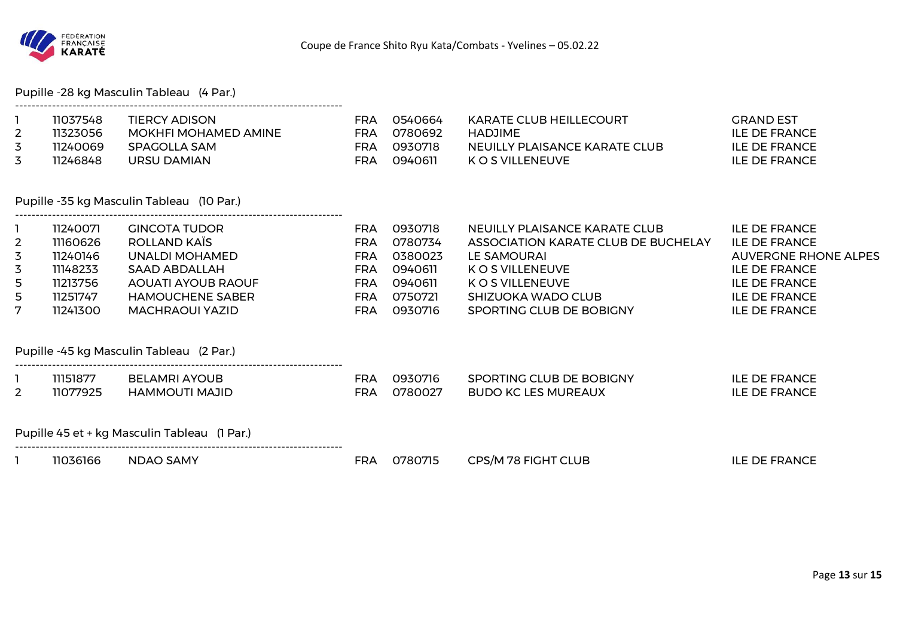

Pupille -28 kg Masculin Tableau (4 Par.)

| 11037548 | TIERCY ADISON        | FRA | 0540664 | KARATE CLUB HEILLECOURT       | <b>GRAND EST</b>     |
|----------|----------------------|-----|---------|-------------------------------|----------------------|
| 11323056 | MOKHFI MOHAMED AMINE | FRA | 0780692 | HADJIME                       | <b>ILE DE FRANCE</b> |
| 11240069 | SPAGOLLA SAM         | FRA | 0930718 | NEUILLY PLAISANCE KARATE CLUB | ILE DE FRANCE        |
| 11246848 | URSU DAMIAN          | FRA | 0940611 | K O S VILLENEUVE              | <b>ILE DE FRANCE</b> |

#### Pupille -35 kg Masculin Tableau (10 Par.)

--------------------------------------------------------------------------------

|                | 11240071 | <b>GINCOTA TUDOR</b>      | FRA | 0930718 | NEUILLY PLAISANCE KARATE CLUB       | ILE DE FRANCE        |
|----------------|----------|---------------------------|-----|---------|-------------------------------------|----------------------|
| $\overline{2}$ | 11160626 | ROLLAND KAÏS              | FRA | 0780734 | ASSOCIATION KARATE CLUB DE BUCHELAY | <b>ILE DE FRANCE</b> |
| 3              | 11240146 | UNALDI MOHAMED            | FRA | 0380023 | LE SAMOURAI                         | AUVERGNE RHONE ALPES |
| 3              | 11148233 | SAAD ABDALLAH             | FRA | 0940611 | K O S VILLENEUVE                    | ILE DE FRANCE        |
| 5              | 11213756 | <b>AOUATI AYOUB RAOUF</b> | FRA | 0940611 | K O S VILLENEUVE                    | <b>ILE DE FRANCE</b> |
| 5.             | 11251747 | <b>HAMOUCHENE SABER</b>   | FRA | 0750721 | SHIZUOKA WADO CLUB                  | <b>ILE DE FRANCE</b> |
| 7              | 11241300 | MACHRAOUI YAZID           | FRA | 0930716 | SPORTING CLUB DE BOBIGNY            | <b>ILE DE FRANCE</b> |

Pupille -45 kg Masculin Tableau (2 Par.)

|          | 11151877 | <b>BELAMRI AYOUB</b> | FRA | 0930716 | SPORTING CLUB DE BOBIGNY   | <b>ILE DE FRANCE</b> |
|----------|----------|----------------------|-----|---------|----------------------------|----------------------|
| <u>_</u> | 11077925 | HAMMOUTI MAJID       | FRA | 0780027 | <b>BUDO KC LES MUREAUX</b> | <b>ILE DE FRANCE</b> |

Pupille 45 et + kg Masculin Tableau (1 Par.)

--------------------------------------------------------------------------------

--------------------------------------------------------------------------------

1 11036166 NDAO SAMY FRA 0780715 CPS/M 78 FIGHT CLUB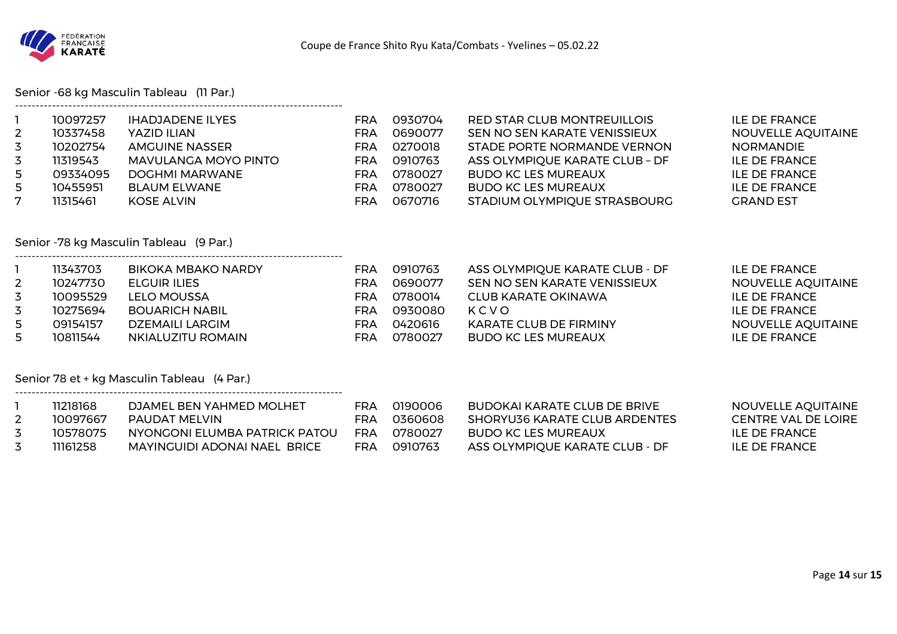

Senior -68 kg Masculin Tableau (11 Par.)

| $\overline{2}$<br>3<br>3<br>5<br>5<br>7     | 10097257<br>10337458<br>10202754<br>11319543<br>09334095<br>10455951<br>11315461 | <b>IHADJADENE ILYES</b><br>YAZID ILIAN<br><b>AMGUINE NASSER</b><br><b>MAVULANGA MOYO PINTO</b><br><b>DOGHMI MARWANE</b><br><b>BLAUM ELWANE</b><br><b>KOSE ALVIN</b> | <b>FRA</b><br><b>FRA</b><br><b>FRA</b><br><b>FRA</b><br>FRA<br><b>FRA</b><br><b>FRA</b> | 0930704<br>0690077<br>0270018<br>0910763<br>0780027<br>0780027<br>0670716 | RED STAR CLUB MONTREUILLOIS<br>SEN NO SEN KARATE VENISSIEUX<br>STADE PORTE NORMANDE VERNON<br>ASS OLYMPIQUE KARATE CLUB - DF<br><b>BUDO KC LES MUREAUX</b><br><b>BUDO KC LES MUREAUX</b><br>STADIUM OLYMPIQUE STRASBOURG | <b>ILE DE FRANCE</b><br><b>NOUVELLE AQUITAINE</b><br><b>NORMANDIE</b><br><b>ILE DE FRANCE</b><br><b>ILE DE FRANCE</b><br><b>ILE DE FRANCE</b><br><b>GRAND EST</b> |  |  |  |
|---------------------------------------------|----------------------------------------------------------------------------------|---------------------------------------------------------------------------------------------------------------------------------------------------------------------|-----------------------------------------------------------------------------------------|---------------------------------------------------------------------------|--------------------------------------------------------------------------------------------------------------------------------------------------------------------------------------------------------------------------|-------------------------------------------------------------------------------------------------------------------------------------------------------------------|--|--|--|
| Senior -78 kg Masculin Tableau (9 Par.)     |                                                                                  |                                                                                                                                                                     |                                                                                         |                                                                           |                                                                                                                                                                                                                          |                                                                                                                                                                   |  |  |  |
| 1<br>$\overline{2}$<br>3<br>3<br>5<br>5     | 11343703<br>10247730<br>10095529<br>10275694<br>09154157<br>10811544             | BIKOKA MBAKO NARDY<br><b>ELGUIR ILIES</b><br><b>LELO MOUSSA</b><br><b>BOUARICH NABIL</b><br><b>DZEMAILI LARGIM</b><br>NKIALUZITU ROMAIN                             | FRA<br><b>FRA</b><br><b>FRA</b><br><b>FRA</b><br>FRA<br><b>FRA</b>                      | 0910763<br>0690077<br>0780014<br>0930080<br>0420616<br>0780027            | ASS OLYMPIQUE KARATE CLUB - DF<br>SEN NO SEN KARATE VENISSIEUX<br><b>CLUB KARATE OKINAWA</b><br>KCVO<br><b>KARATE CLUB DE FIRMINY</b><br><b>BUDO KC LES MUREAUX</b>                                                      | <b>ILE DE FRANCE</b><br>NOUVELLE AQUITAINE<br><b>ILE DE FRANCE</b><br><b>ILE DE FRANCE</b><br>NOUVELLE AQUITAINE<br><b>ILE DE FRANCE</b>                          |  |  |  |
| Senior 78 et + kg Masculin Tableau (4 Par.) |                                                                                  |                                                                                                                                                                     |                                                                                         |                                                                           |                                                                                                                                                                                                                          |                                                                                                                                                                   |  |  |  |
| Т.<br>$\overline{2}$<br>3<br>3              | 11218168<br>10097667<br>10578075<br>11161258                                     | DJAMEL BEN YAHMED MOLHET<br><b>PAUDAT MELVIN</b><br>NYONGONI ELUMBA PATRICK PATOU<br>MAYINGUIDI ADONAI NAEL BRICE                                                   | <b>FRA</b><br><b>FRA</b><br>FRA<br>FRA                                                  | 0190006<br>0360608<br>0780027<br>0910763                                  | <b>BUDOKAI KARATE CLUB DE BRIVE</b><br><b>SHORYU36 KARATE CLUB ARDENTES</b><br><b>BUDO KC LES MUREAUX</b><br>ASS OLYMPIQUE KARATE CLUB - DF                                                                              | <b>NOUVELLE AQUITAINE</b><br><b>CENTRE VAL DE LOIRE</b><br><b>ILE DE FRANCE</b><br><b>ILE DE FRANCE</b>                                                           |  |  |  |